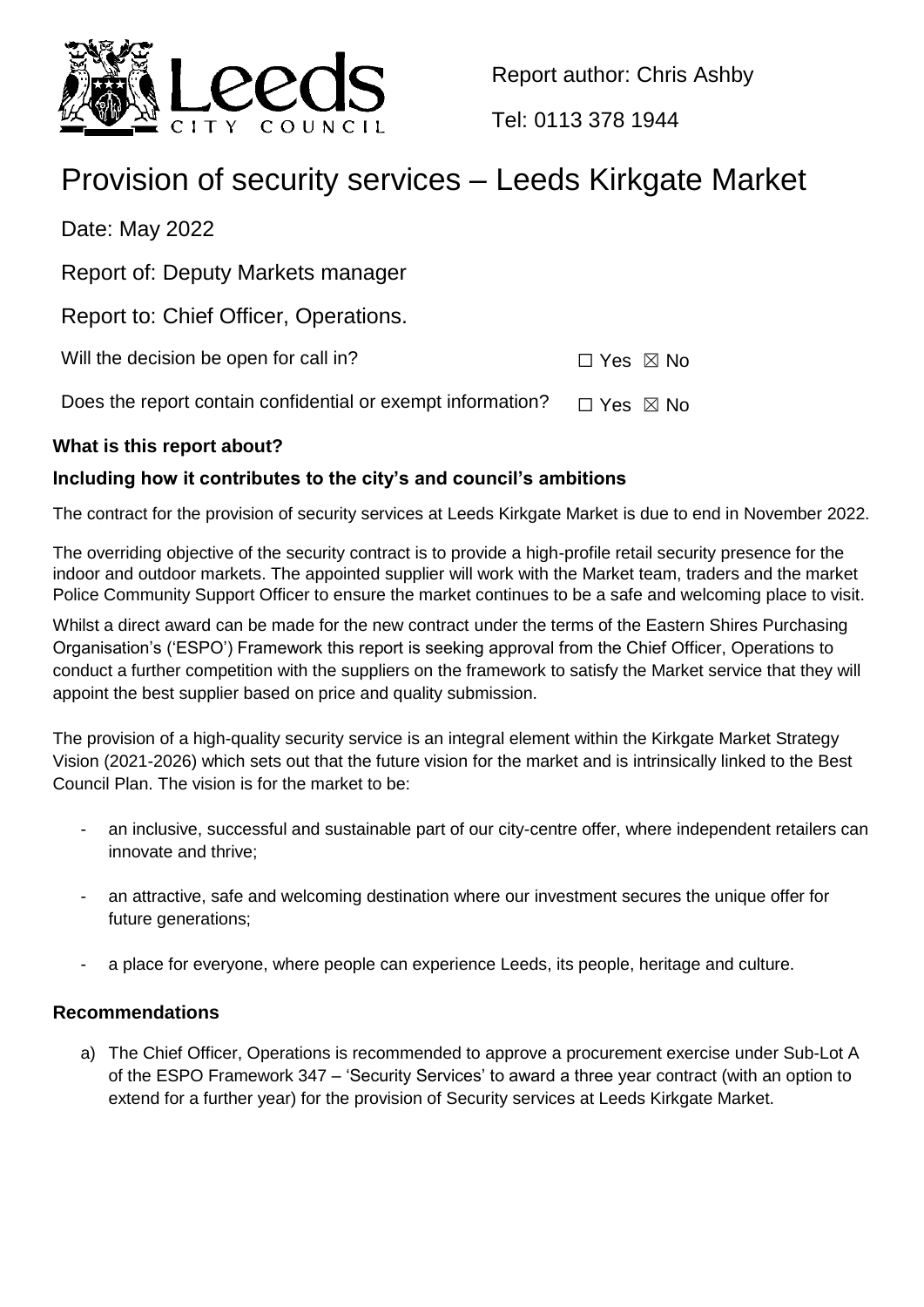

Report author: Chris Ashby

Tel: 0113 378 1944

# Provision of security services – Leeds Kirkgate Market

Date: May 2022

Report of: Deputy Markets manager

Report to: Chief Officer, Operations.

Will the decision be open for call in?  $\Box$  Yes  $\boxtimes$  No

Does the report contain confidential or exempt information?  $\Box$  Yes  $\boxtimes$  No

# **What is this report about?**

# **Including how it contributes to the city's and council's ambitions**

The contract for the provision of security services at Leeds Kirkgate Market is due to end in November 2022.

The overriding objective of the security contract is to provide a high-profile retail security presence for the indoor and outdoor markets. The appointed supplier will work with the Market team, traders and the market Police Community Support Officer to ensure the market continues to be a safe and welcoming place to visit.

Whilst a direct award can be made for the new contract under the terms of the Eastern Shires Purchasing Organisation's ('ESPO') Framework this report is seeking approval from the Chief Officer, Operations to conduct a further competition with the suppliers on the framework to satisfy the Market service that they will appoint the best supplier based on price and quality submission.

The provision of a high-quality security service is an integral element within the Kirkgate Market Strategy Vision (2021-2026) which sets out that the future vision for the market and is intrinsically linked to the Best Council Plan. The vision is for the market to be:

- an inclusive, successful and sustainable part of our city-centre offer, where independent retailers can innovate and thrive;
- an attractive, safe and welcoming destination where our investment secures the unique offer for future generations;
- a place for everyone, where people can experience Leeds, its people, heritage and culture.

# **Recommendations**

a) The Chief Officer, Operations is recommended to approve a procurement exercise under Sub-Lot A of the ESPO Framework 347 – 'Security Services' to award a three year contract (with an option to extend for a further year) for the provision of Security services at Leeds Kirkgate Market.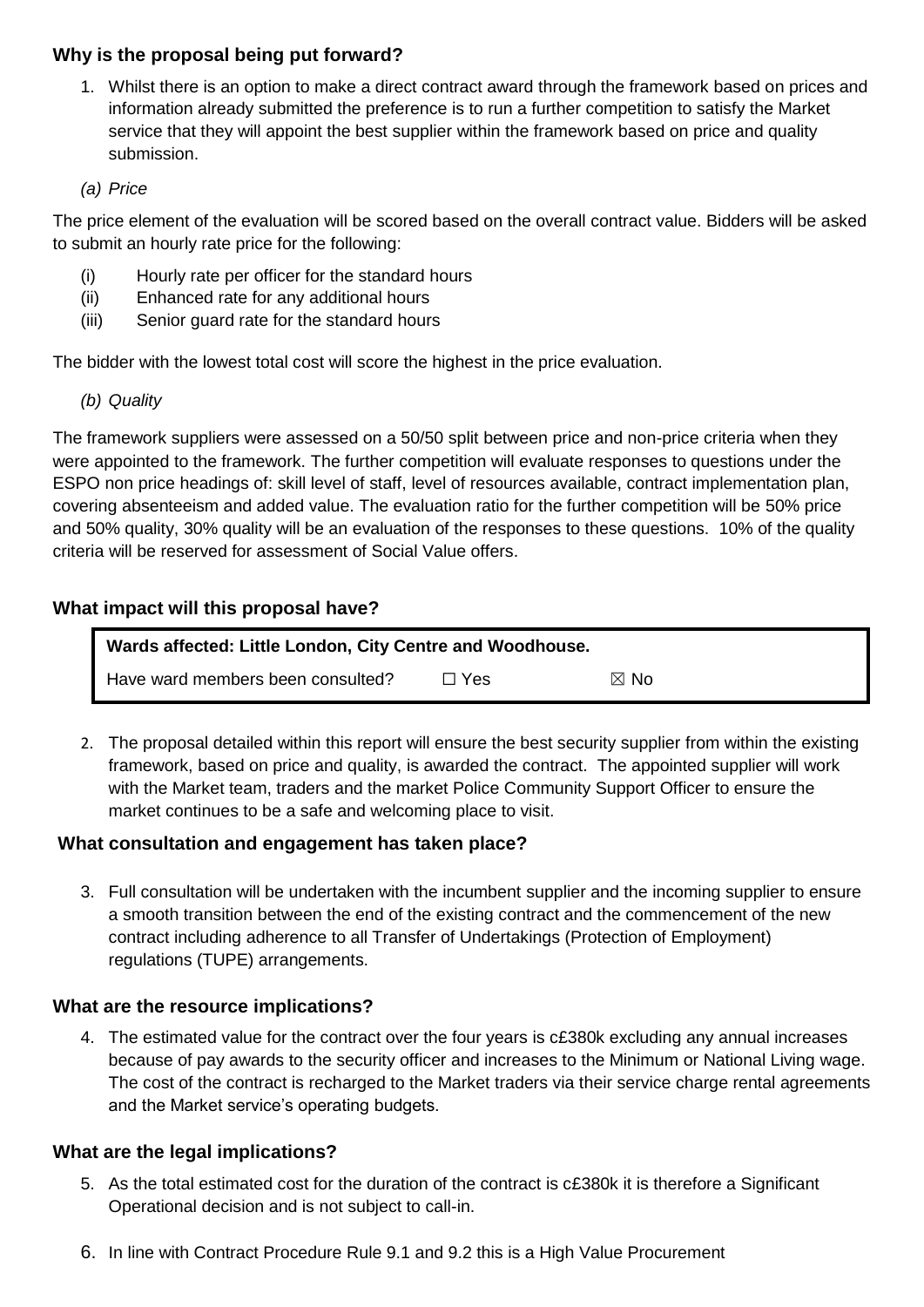## **Why is the proposal being put forward?**

1. Whilst there is an option to make a direct contract award through the framework based on prices and information already submitted the preference is to run a further competition to satisfy the Market service that they will appoint the best supplier within the framework based on price and quality submission.

#### *(a) Price*

The price element of the evaluation will be scored based on the overall contract value. Bidders will be asked to submit an hourly rate price for the following:

- (i) Hourly rate per officer for the standard hours
- (ii) Enhanced rate for any additional hours
- (iii) Senior guard rate for the standard hours

The bidder with the lowest total cost will score the highest in the price evaluation.

*(b) Quality* 

The framework suppliers were assessed on a 50/50 split between price and non-price criteria when they were appointed to the framework. The further competition will evaluate responses to questions under the ESPO non price headings of: skill level of staff, level of resources available, contract implementation plan, covering absenteeism and added value. The evaluation ratio for the further competition will be 50% price and 50% quality, 30% quality will be an evaluation of the responses to these questions. 10% of the quality criteria will be reserved for assessment of Social Value offers.

## **What impact will this proposal have?**

| Wards affected: Little London, City Centre and Woodhouse. |            |                |  |
|-----------------------------------------------------------|------------|----------------|--|
| Have ward members been consulted?                         | $\Box$ Yes | $\boxtimes$ No |  |

2. The proposal detailed within this report will ensure the best security supplier from within the existing framework, based on price and quality, is awarded the contract. The appointed supplier will work with the Market team, traders and the market Police Community Support Officer to ensure the market continues to be a safe and welcoming place to visit.

#### **What consultation and engagement has taken place?**

3. Full consultation will be undertaken with the incumbent supplier and the incoming supplier to ensure a smooth transition between the end of the existing contract and the commencement of the new contract including adherence to all Transfer of Undertakings (Protection of Employment) regulations (TUPE) arrangements.

#### **What are the resource implications?**

4. The estimated value for the contract over the four years is c£380k excluding any annual increases because of pay awards to the security officer and increases to the Minimum or National Living wage. The cost of the contract is recharged to the Market traders via their service charge rental agreements and the Market service's operating budgets.

#### **What are the legal implications?**

- 5. As the total estimated cost for the duration of the contract is c£380k it is therefore a Significant Operational decision and is not subject to call-in.
- 6. In line with Contract Procedure Rule 9.1 and 9.2 this is a High Value Procurement